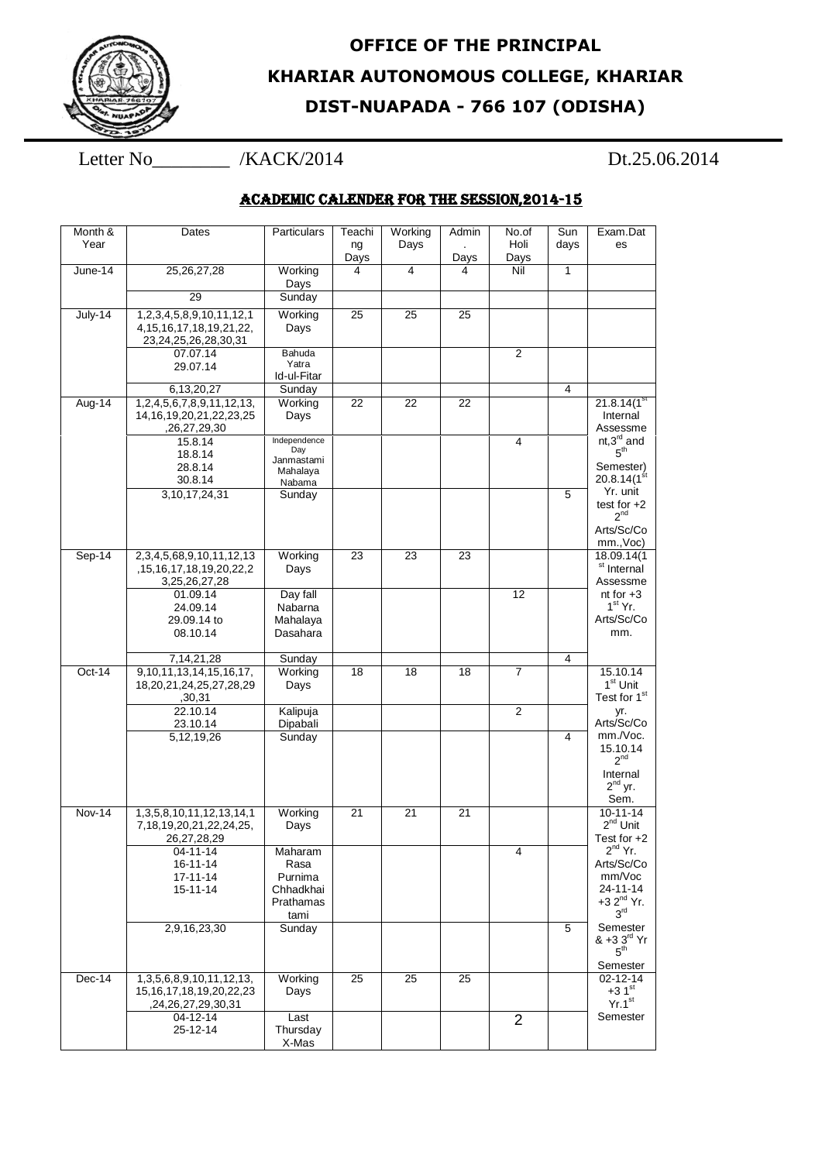

## **OFFICE OF THE PRINCIPAL KHARIAR AUTONOMOUS COLLEGE, KHARIAR DIST-NUAPADA - 766 107 (ODISHA)**

## Letter No\_\_\_\_\_\_\_\_ /KACK/2014 Dt.25.06.2014

## ACADEMIC CALENDER FOR THE SESSION,2014-15

| Month &<br>Year | Dates                                                                                     | Particulars                       | Teachi<br>ng<br>Days | Working<br>Days | Admin<br>Days | No.of<br>Holi<br>Days | Sun<br>days  | Exam.Dat<br>es                                         |
|-----------------|-------------------------------------------------------------------------------------------|-----------------------------------|----------------------|-----------------|---------------|-----------------------|--------------|--------------------------------------------------------|
| June-14         | 25, 26, 27, 28                                                                            | Working<br>Days                   | 4                    | 4               | 4             | Nil                   | $\mathbf{1}$ |                                                        |
|                 | 29                                                                                        | Sunday                            |                      |                 |               |                       |              |                                                        |
| July-14         | 1,2,3,4,5,8,9,10,11,12,1<br>4, 15, 16, 17, 18, 19, 21, 22,<br>23,24,25,26,28,30,31        | Working<br>Days                   | 25                   | 25              | 25            |                       |              |                                                        |
|                 | 07.07.14<br>29.07.14                                                                      | Bahuda<br>Yatra<br>Id-ul-Fitar    |                      |                 |               | $\overline{2}$        |              |                                                        |
| Aug-14          | 6,13,20,27                                                                                | Sunday                            | 22                   | 22              | 22            |                       | 4            | 21.8.14(1 <sup>st</sup> )                              |
|                 | 1,2,4,5,6,7,8,9,11,12,13,<br>14, 16, 19, 20, 21, 22, 23, 25<br>,26,27,29,30               | Working<br>Days                   |                      |                 |               |                       |              | Internal<br>Assessme                                   |
|                 | 15.8.14<br>18.8.14                                                                        | Independence<br>Day<br>Janmastami |                      |                 |               | 4                     |              | nt, $3^{\text{rd}}$ and $5^{\text{th}}$                |
|                 | 28.8.14<br>30.8.14                                                                        | Mahalaya<br>Nabama                |                      |                 |               |                       |              | Semester)<br>20.8.14 $(1st)$                           |
|                 | 3, 10, 17, 24, 31                                                                         | Sunday                            |                      |                 |               |                       | 5            | Yr. unit<br>test for $+2$<br>$2^{nd}$                  |
|                 |                                                                                           |                                   |                      |                 |               |                       |              | Arts/Sc/Co<br>mm., Voc)                                |
| Sep-14          | 2, 3, 4, 5, 68, 9, 10, 11, 12, 13                                                         | Working                           | 23                   | 23              | 23            |                       |              | 18.09.14(1                                             |
|                 | ,15,16,17,18,19,20,22,2<br>3,25,26,27,28                                                  | Days                              |                      |                 |               |                       |              | <sup>st</sup> Internal<br>Assessme                     |
|                 | 01.09.14                                                                                  | Day fall                          |                      |                 |               | 12                    |              | nt for $+3$                                            |
|                 | 24.09.14<br>29.09.14 to                                                                   | Nabarna<br>Mahalaya               |                      |                 |               |                       |              | $1st$ Yr.<br>Arts/Sc/Co                                |
|                 | 08.10.14                                                                                  | Dasahara                          |                      |                 |               |                       |              | mm.                                                    |
|                 | 7, 14, 21, 28                                                                             | Sunday                            |                      |                 |               |                       | 4            |                                                        |
| $Oct-14$        | 9, 10, 11, 13, 14, 15, 16, 17,<br>18,20,21,24,25,27,28,29<br>,30,31                       | Working<br>Days                   | 18                   | 18              | 18            | $\overline{7}$        |              | 15.10.14<br>1 <sup>st</sup> Unit<br>Test for 1st       |
|                 | 22.10.14<br>23.10.14                                                                      | Kalipuja<br>Dipabali              |                      |                 |               | 2                     |              | yr.<br>Arts/Sc/Co                                      |
|                 | 5, 12, 19, 26                                                                             | Sunday                            |                      |                 |               |                       | 4            | mm./Voc.<br>15.10.14                                   |
|                 |                                                                                           |                                   |                      |                 |               |                       |              | 2 <sup>nd</sup><br>Internal                            |
|                 |                                                                                           |                                   |                      |                 |               |                       |              | $2^{nd}$ yr.<br>Sem.                                   |
| Nov-14          | 1, 3, 5, 8, 10, 11, 12, 13, 14, 1<br>7,18,19,20,21,22,24,25,<br>26, 27, 28, 29            | Working<br>Days                   | 21                   | 21              | 21            |                       |              | $10 - 11 - 14$<br>$2^{nd}$ Unit<br>Test for +2         |
|                 | 04-11-14                                                                                  | Maharam                           |                      |                 |               | 4                     |              | $2^{nd}$ Yr.                                           |
|                 | 16-11-14<br>17-11-14                                                                      | Rasa<br>Purnima                   |                      |                 |               |                       |              | Arts/Sc/Co<br>mm/Voc                                   |
|                 | 15-11-14                                                                                  | Chhadkhai                         |                      |                 |               |                       |              | 24-11-14                                               |
|                 |                                                                                           | Prathamas<br>tami                 |                      |                 |               |                       |              | $+32^{nd}$ Yr.<br>3 <sup>rd</sup>                      |
|                 | 2,9,16,23,30                                                                              | Sunday                            |                      |                 |               |                       | 5            | Semester<br>& +3 3 <sup>rd</sup> Yr<br>5 <sup>th</sup> |
| $Dec-14$        |                                                                                           | Working                           | $\overline{25}$      | 25              | 25            |                       |              | Semester<br>02-12-14                                   |
|                 | 1, 3, 5, 6, 8, 9, 10, 11, 12, 13,<br>15, 16, 17, 18, 19, 20, 22, 23<br>,24,26,27,29,30,31 | Days                              |                      |                 |               |                       |              | $+31$ <sup>st</sup><br>Yr.1 <sup>st</sup>              |
|                 | 04-12-14                                                                                  | Last                              |                      |                 |               | $\overline{2}$        |              | Semester                                               |
|                 | 25-12-14                                                                                  | Thursday<br>X-Mas                 |                      |                 |               |                       |              |                                                        |